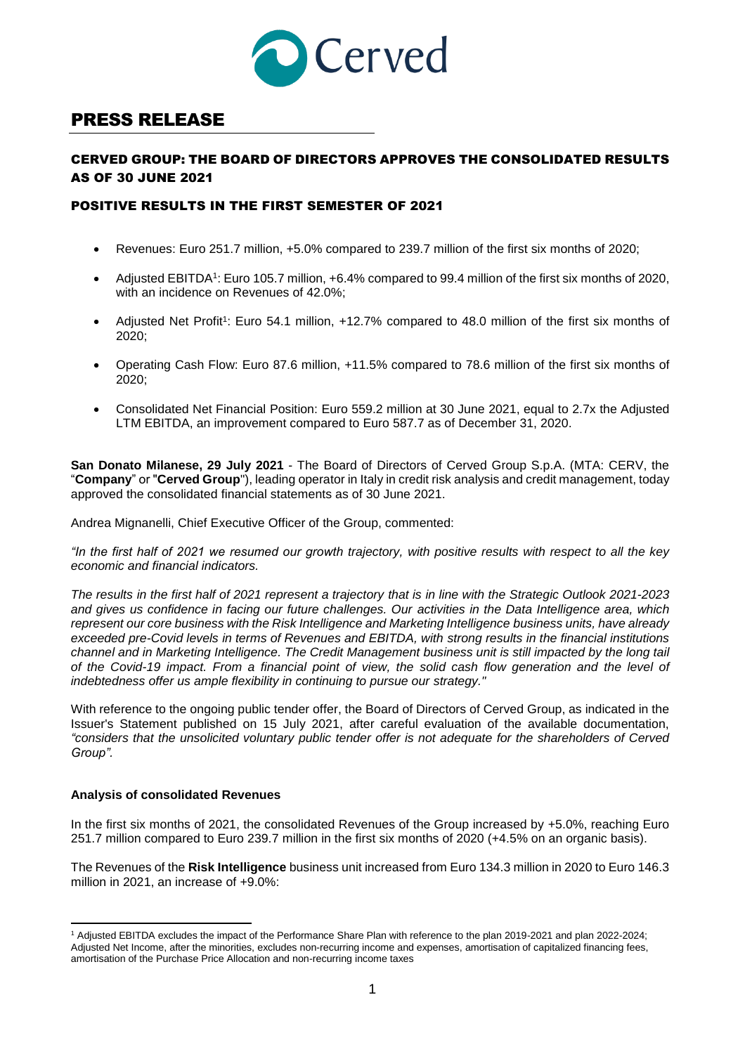

# PRESS RELEASE

# CERVED GROUP: THE BOARD OF DIRECTORS APPROVES THE CONSOLIDATED RESULTS AS OF 30 JUNE 2021

## POSITIVE RESULTS IN THE FIRST SEMESTER OF 2021

- Revenues: Euro 251.7 million, +5.0% compared to 239.7 million of the first six months of 2020;
- Adjusted EBITDA<sup>1</sup>: Euro 105.7 million, +6.4% compared to 99.4 million of the first six months of 2020, with an incidence on Revenues of 42.0%;
- Adjusted Net Profit<sup>1</sup>: Euro 54.1 million, +12.7% compared to 48.0 million of the first six months of 2020;
- Operating Cash Flow: Euro 87.6 million, +11.5% compared to 78.6 million of the first six months of 2020;
- Consolidated Net Financial Position: Euro 559.2 million at 30 June 2021, equal to 2.7x the Adjusted LTM EBITDA, an improvement compared to Euro 587.7 as of December 31, 2020.

**San Donato Milanese, 29 July 2021** - The Board of Directors of Cerved Group S.p.A. (MTA: CERV, the "**Company**" or "**Cerved Group**"), leading operator in Italy in credit risk analysis and credit management, today approved the consolidated financial statements as of 30 June 2021.

Andrea Mignanelli, Chief Executive Officer of the Group, commented:

*"In the first half of 2021 we resumed our growth trajectory, with positive results with respect to all the key economic and financial indicators.*

*The results in the first half of 2021 represent a trajectory that is in line with the Strategic Outlook 2021-2023 and gives us confidence in facing our future challenges. Our activities in the Data Intelligence area, which represent our core business with the Risk Intelligence and Marketing Intelligence business units, have already exceeded pre-Covid levels in terms of Revenues and EBITDA, with strong results in the financial institutions channel and in Marketing Intelligence. The Credit Management business unit is still impacted by the long tail of the Covid-19 impact. From a financial point of view, the solid cash flow generation and the level of indebtedness offer us ample flexibility in continuing to pursue our strategy."*

With reference to the ongoing public tender offer, the Board of Directors of Cerved Group, as indicated in the Issuer's Statement published on 15 July 2021, after careful evaluation of the available documentation, *"considers that the unsolicited voluntary public tender offer is not adequate for the shareholders of Cerved Group".*

#### **Analysis of consolidated Revenues**

 $\overline{a}$ 

In the first six months of 2021, the consolidated Revenues of the Group increased by +5.0%, reaching Euro 251.7 million compared to Euro 239.7 million in the first six months of 2020 (+4.5% on an organic basis).

The Revenues of the **Risk Intelligence** business unit increased from Euro 134.3 million in 2020 to Euro 146.3 million in 2021, an increase of +9.0%:

<sup>1</sup> Adjusted EBITDA excludes the impact of the Performance Share Plan with reference to the plan 2019-2021 and plan 2022-2024; Adjusted Net Income, after the minorities, excludes non-recurring income and expenses, amortisation of capitalized financing fees, amortisation of the Purchase Price Allocation and non-recurring income taxes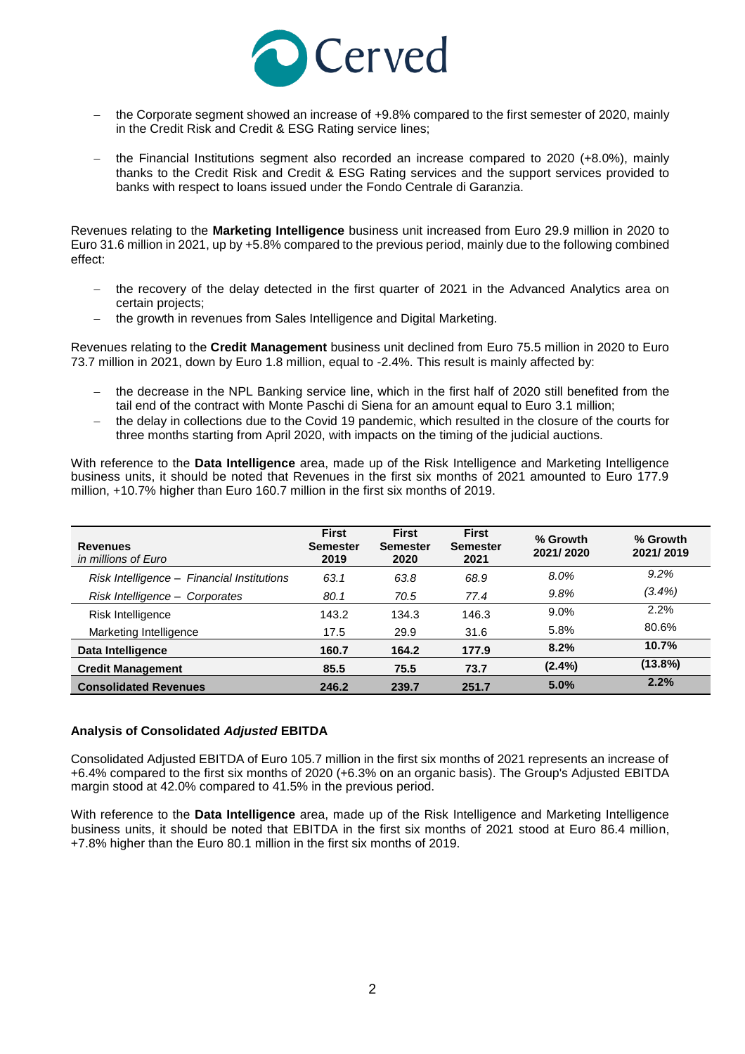

- the Corporate segment showed an increase of +9.8% compared to the first semester of 2020, mainly in the Credit Risk and Credit & ESG Rating service lines;
- the Financial Institutions segment also recorded an increase compared to 2020 (+8.0%), mainly thanks to the Credit Risk and Credit & ESG Rating services and the support services provided to banks with respect to loans issued under the Fondo Centrale di Garanzia.

Revenues relating to the **Marketing Intelligence** business unit increased from Euro 29.9 million in 2020 to Euro 31.6 million in 2021, up by +5.8% compared to the previous period, mainly due to the following combined effect:

- the recovery of the delay detected in the first quarter of 2021 in the Advanced Analytics area on certain projects;
- the growth in revenues from Sales Intelligence and Digital Marketing.

Revenues relating to the **Credit Management** business unit declined from Euro 75.5 million in 2020 to Euro 73.7 million in 2021, down by Euro 1.8 million, equal to -2.4%. This result is mainly affected by:

- the decrease in the NPL Banking service line, which in the first half of 2020 still benefited from the tail end of the contract with Monte Paschi di Siena for an amount equal to Euro 3.1 million;
- the delay in collections due to the Covid 19 pandemic, which resulted in the closure of the courts for three months starting from April 2020, with impacts on the timing of the judicial auctions.

With reference to the **Data Intelligence** area, made up of the Risk Intelligence and Marketing Intelligence business units, it should be noted that Revenues in the first six months of 2021 amounted to Euro 177.9 million, +10.7% higher than Euro 160.7 million in the first six months of 2019.

| <b>Revenues</b><br>in millions of Euro     | <b>First</b><br><b>Semester</b><br>2019 | <b>First</b><br><b>Semester</b><br>2020 | <b>First</b><br><b>Semester</b><br>2021 | % Growth<br>2021/2020 | % Growth<br>2021/2019 |
|--------------------------------------------|-----------------------------------------|-----------------------------------------|-----------------------------------------|-----------------------|-----------------------|
| Risk Intelligence - Financial Institutions | 63.1                                    | 63.8                                    | 68.9                                    | 8.0%                  | 9.2%                  |
| Risk Intelligence - Corporates             | 80.1                                    | 70.5                                    | 77.4                                    | 9.8%                  | $(3.4\%)$             |
| Risk Intelligence                          | 143.2                                   | 134.3                                   | 146.3                                   | 9.0%                  | 2.2%                  |
| Marketing Intelligence                     | 17.5                                    | 29.9                                    | 31.6                                    | 5.8%                  | 80.6%                 |
| Data Intelligence                          | 160.7                                   | 164.2                                   | 177.9                                   | 8.2%                  | 10.7%                 |
| <b>Credit Management</b>                   | 85.5                                    | 75.5                                    | 73.7                                    | $(2.4\%)$             | $(13.8\%)$            |
| <b>Consolidated Revenues</b>               | 246.2                                   | 239.7                                   | 251.7                                   | 5.0%                  | 2.2%                  |

## **Analysis of Consolidated** *Adjusted* **EBITDA**

Consolidated Adjusted EBITDA of Euro 105.7 million in the first six months of 2021 represents an increase of +6.4% compared to the first six months of 2020 (+6.3% on an organic basis). The Group's Adjusted EBITDA margin stood at 42.0% compared to 41.5% in the previous period.

With reference to the **Data Intelligence** area, made up of the Risk Intelligence and Marketing Intelligence business units, it should be noted that EBITDA in the first six months of 2021 stood at Euro 86.4 million, +7.8% higher than the Euro 80.1 million in the first six months of 2019.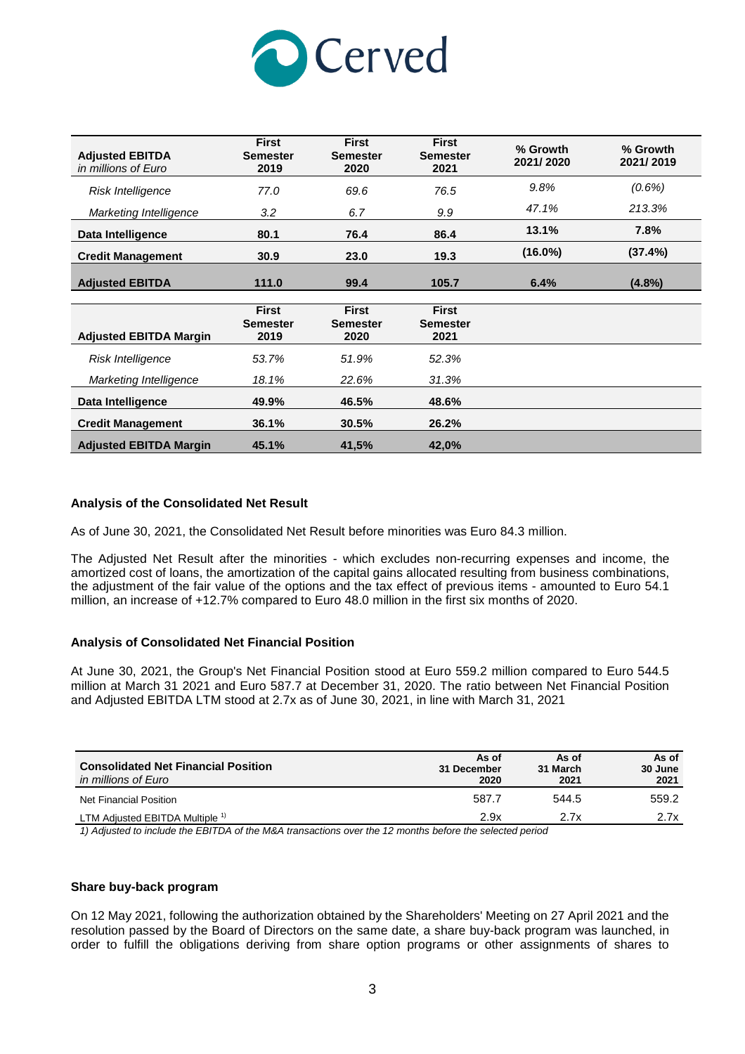

| <b>Adjusted EBITDA</b><br>in millions of Euro | <b>First</b><br><b>Semester</b><br>2019 | <b>First</b><br><b>Semester</b><br>2020 | <b>First</b><br><b>Semester</b><br>2021 | % Growth<br>2021/2020 | % Growth<br>2021/2019 |
|-----------------------------------------------|-----------------------------------------|-----------------------------------------|-----------------------------------------|-----------------------|-----------------------|
| Risk Intelligence                             | 77.0                                    | 69.6                                    | 76.5                                    | 9.8%                  | (0.6%)                |
| Marketing Intelligence                        | $3.2\,$                                 | 6.7                                     | 9.9                                     | 47.1%                 | 213.3%                |
| Data Intelligence                             | 80.1                                    | 76.4                                    | 86.4                                    | 13.1%                 | 7.8%                  |
| <b>Credit Management</b>                      | 30.9                                    | 23.0                                    | 19.3                                    | $(16.0\%)$            | (37.4%)               |
| <b>Adjusted EBITDA</b>                        | 111.0                                   | 99.4                                    | 105.7                                   | 6.4%                  | $(4.8\%)$             |
| <b>Adjusted EBITDA Margin</b>                 | <b>First</b><br><b>Semester</b><br>2019 | <b>First</b><br><b>Semester</b><br>2020 | <b>First</b><br><b>Semester</b><br>2021 |                       |                       |
| Risk Intelligence                             | 53.7%                                   | 51.9%                                   | 52.3%                                   |                       |                       |
| Marketing Intelligence                        | 18.1%                                   | 22.6%                                   | 31.3%                                   |                       |                       |
| Data Intelligence                             | 49.9%                                   | 46.5%                                   | 48.6%                                   |                       |                       |
| <b>Credit Management</b>                      | 36.1%                                   | 30.5%                                   | 26.2%                                   |                       |                       |
| <b>Adjusted EBITDA Margin</b>                 | 45.1%                                   | 41,5%                                   | 42,0%                                   |                       |                       |

## **Analysis of the Consolidated Net Result**

As of June 30, 2021, the Consolidated Net Result before minorities was Euro 84.3 million.

The Adjusted Net Result after the minorities - which excludes non-recurring expenses and income, the amortized cost of loans, the amortization of the capital gains allocated resulting from business combinations, the adjustment of the fair value of the options and the tax effect of previous items - amounted to Euro 54.1 million, an increase of +12.7% compared to Euro 48.0 million in the first six months of 2020.

#### **Analysis of Consolidated Net Financial Position**

At June 30, 2021, the Group's Net Financial Position stood at Euro 559.2 million compared to Euro 544.5 million at March 31 2021 and Euro 587.7 at December 31, 2020. The ratio between Net Financial Position and Adjusted EBITDA LTM stood at 2.7x as of June 30, 2021, in line with March 31, 2021

| <b>Consolidated Net Financial Position</b><br>in millions of Euro | As of<br>31 December<br>2020 | As of<br>31 March<br>2021 | As of<br>30 June<br>2021 |
|-------------------------------------------------------------------|------------------------------|---------------------------|--------------------------|
| Net Financial Position                                            | 587.7                        | 544.5                     | 559.2                    |
| LTM Adiusted EBITDA Multiple <sup>1)</sup>                        | 2.9x                         | 2.7x                      | 2.7x                     |

*1) Adjusted to include the EBITDA of the M&A transactions over the 12 months before the selected period*

#### **Share buy-back program**

On 12 May 2021, following the authorization obtained by the Shareholders' Meeting on 27 April 2021 and the resolution passed by the Board of Directors on the same date, a share buy-back program was launched, in order to fulfill the obligations deriving from share option programs or other assignments of shares to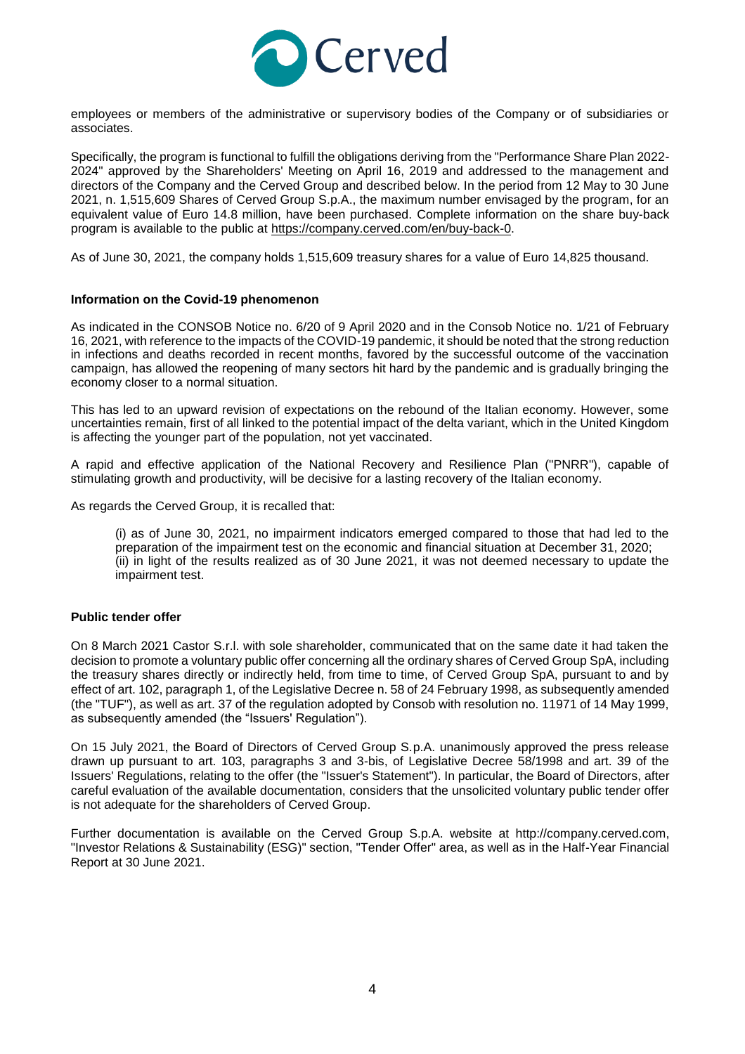

employees or members of the administrative or supervisory bodies of the Company or of subsidiaries or associates.

Specifically, the program is functional to fulfill the obligations deriving from the "Performance Share Plan 2022- 2024" approved by the Shareholders' Meeting on April 16, 2019 and addressed to the management and directors of the Company and the Cerved Group and described below. In the period from 12 May to 30 June 2021, n. 1,515,609 Shares of Cerved Group S.p.A., the maximum number envisaged by the program, for an equivalent value of Euro 14.8 million, have been purchased. Complete information on the share buy-back program is available to the public at [https://company.cerved.com/en/buy-back-0.](https://company.cerved.com/en/buy-back-0)

As of June 30, 2021, the company holds 1,515,609 treasury shares for a value of Euro 14,825 thousand.

## **Information on the Covid-19 phenomenon**

As indicated in the CONSOB Notice no. 6/20 of 9 April 2020 and in the Consob Notice no. 1/21 of February 16, 2021, with reference to the impacts of the COVID-19 pandemic, it should be noted that the strong reduction in infections and deaths recorded in recent months, favored by the successful outcome of the vaccination campaign, has allowed the reopening of many sectors hit hard by the pandemic and is gradually bringing the economy closer to a normal situation.

This has led to an upward revision of expectations on the rebound of the Italian economy. However, some uncertainties remain, first of all linked to the potential impact of the delta variant, which in the United Kingdom is affecting the younger part of the population, not yet vaccinated.

A rapid and effective application of the National Recovery and Resilience Plan ("PNRR"), capable of stimulating growth and productivity, will be decisive for a lasting recovery of the Italian economy.

As regards the Cerved Group, it is recalled that:

(i) as of June 30, 2021, no impairment indicators emerged compared to those that had led to the preparation of the impairment test on the economic and financial situation at December 31, 2020; (ii) in light of the results realized as of 30 June 2021, it was not deemed necessary to update the impairment test.

## **Public tender offer**

On 8 March 2021 Castor S.r.l. with sole shareholder, communicated that on the same date it had taken the decision to promote a voluntary public offer concerning all the ordinary shares of Cerved Group SpA, including the treasury shares directly or indirectly held, from time to time, of Cerved Group SpA, pursuant to and by effect of art. 102, paragraph 1, of the Legislative Decree n. 58 of 24 February 1998, as subsequently amended (the "TUF"), as well as art. 37 of the regulation adopted by Consob with resolution no. 11971 of 14 May 1999, as subsequently amended (the "Issuers' Regulation").

On 15 July 2021, the Board of Directors of Cerved Group S.p.A. unanimously approved the press release drawn up pursuant to art. 103, paragraphs 3 and 3-bis, of Legislative Decree 58/1998 and art. 39 of the Issuers' Regulations, relating to the offer (the "Issuer's Statement"). In particular, the Board of Directors, after careful evaluation of the available documentation, considers that the unsolicited voluntary public tender offer is not adequate for the shareholders of Cerved Group.

Further documentation is available on the Cerved Group S.p.A. website at http://company.cerved.com, "Investor Relations & Sustainability (ESG)" section, "Tender Offer" area, as well as in the Half-Year Financial Report at 30 June 2021.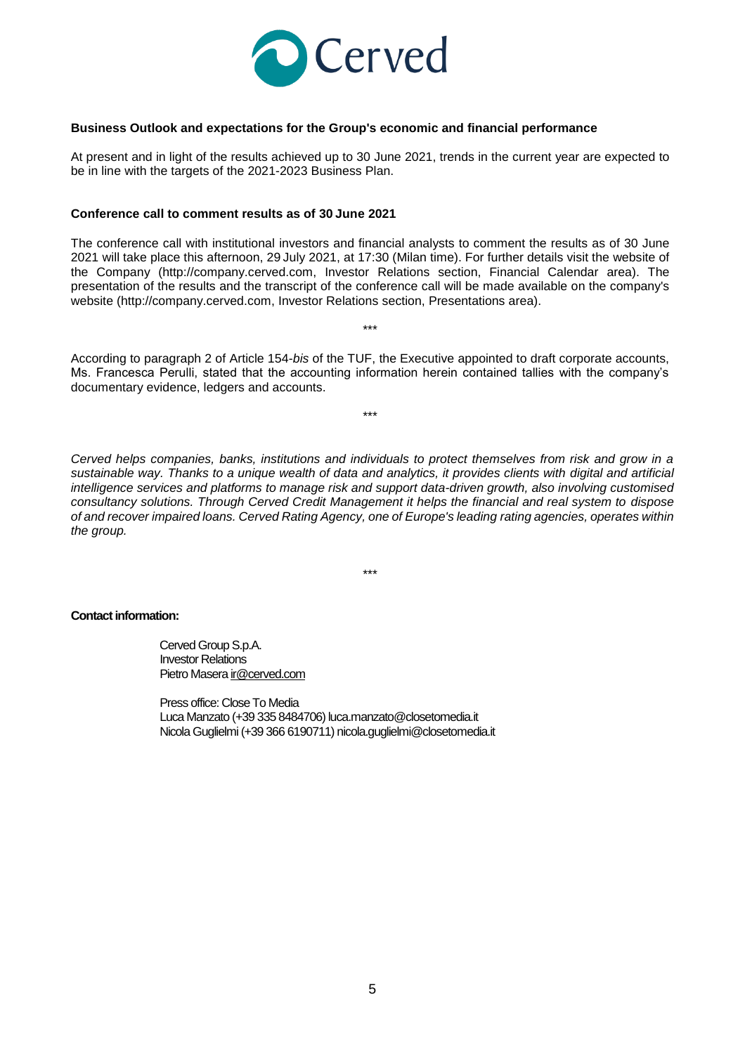

### **Business Outlook and expectations for the Group's economic and financial performance**

At present and in light of the results achieved up to 30 June 2021, trends in the current year are expected to be in line with the targets of the 2021-2023 Business Plan.

#### **Conference call to comment results as of 30 June 2021**

The conference call with institutional investors and financial analysts to comment the results as of 30 June 2021 will take place this afternoon, 29 July 2021, at 17:30 (Milan time). For further details visit the website of the Company (http://company.cerved.com, Investor Relations section, Financial Calendar area). The presentation of the results and the transcript of the conference call will be made available on the company's website (http://company.cerved.com, Investor Relations section, Presentations area).

According to paragraph 2 of Article 154-*bis* of the TUF, the Executive appointed to draft corporate accounts, Ms. Francesca Perulli, stated that the accounting information herein contained tallies with the company's documentary evidence, ledgers and accounts.

\*\*\*

\*\*\*

*Cerved helps companies, banks, institutions and individuals to protect themselves from risk and grow in a sustainable way. Thanks to a unique wealth of data and analytics, it provides clients with digital and artificial intelligence services and platforms to manage risk and support data-driven growth, also involving customised consultancy solutions. Through Cerved Credit Management it helps the financial and real system to dispose of and recover impaired loans. Cerved Rating Agency, one of Europe's leading rating agencies, operates within the group.*

\*\*\*

#### **Contact information:**

Cerved Group S.p.A. Investor Relations Pietro Maser[a ir@cerved.com](mailto:ir@cerved.com)

Press office: Close To Media Luca Manzato (+39 335 8484706[\) luca.manzato@closetomedia.it](mailto:luca.manzato@closetomedia.it) Nicola Guglielmi (+39 366 6190711) [nicola.guglielmi@closetomedia.it](mailto:nicola.guglielmi@closetomedia.it)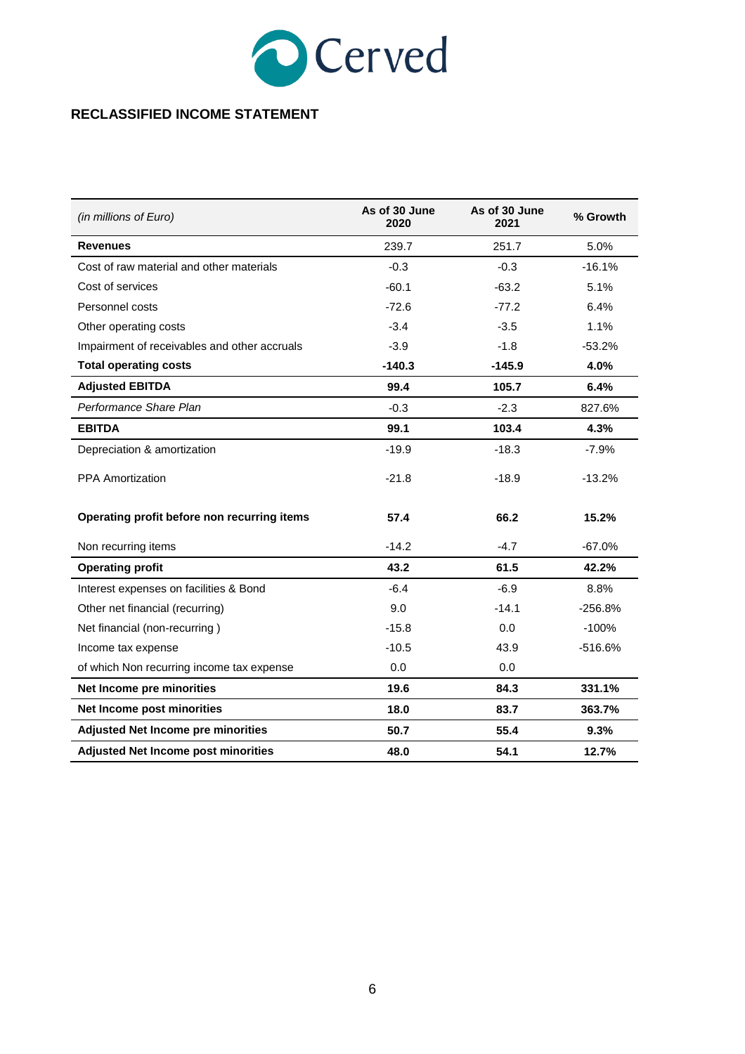

# **RECLASSIFIED INCOME STATEMENT**

| (in millions of Euro)                        | As of 30 June<br>2020 | As of 30 June<br>2021 | % Growth  |
|----------------------------------------------|-----------------------|-----------------------|-----------|
| <b>Revenues</b>                              | 239.7                 | 251.7                 | 5.0%      |
| Cost of raw material and other materials     | $-0.3$                | $-0.3$                | $-16.1%$  |
| Cost of services                             | $-60.1$               | $-63.2$               | 5.1%      |
| Personnel costs                              | $-72.6$               | $-77.2$               | 6.4%      |
| Other operating costs                        | $-3.4$                | $-3.5$                | 1.1%      |
| Impairment of receivables and other accruals | $-3.9$                | $-1.8$                | $-53.2%$  |
| <b>Total operating costs</b>                 | $-140.3$              | $-145.9$              | 4.0%      |
| <b>Adjusted EBITDA</b>                       | 99.4                  | 105.7                 | 6.4%      |
| Performance Share Plan                       | $-0.3$                | $-2.3$                | 827.6%    |
| <b>EBITDA</b>                                | 99.1                  | 103.4                 | 4.3%      |
| Depreciation & amortization                  | $-19.9$               | $-18.3$               | $-7.9%$   |
| <b>PPA Amortization</b>                      | $-21.8$               | $-18.9$               | $-13.2%$  |
| Operating profit before non recurring items  | 57.4                  | 66.2                  | 15.2%     |
| Non recurring items                          | $-14.2$               | $-4.7$                | $-67.0%$  |
| <b>Operating profit</b>                      | 43.2                  | 61.5                  | 42.2%     |
| Interest expenses on facilities & Bond       | $-6.4$                | $-6.9$                | 8.8%      |
| Other net financial (recurring)              | 9.0                   | $-14.1$               | $-256.8%$ |
| Net financial (non-recurring)                | $-15.8$               | 0.0                   | $-100%$   |
| Income tax expense                           | $-10.5$               | 43.9                  | $-516.6%$ |
| of which Non recurring income tax expense    | 0.0                   | 0.0                   |           |
| Net Income pre minorities                    | 19.6                  | 84.3                  | 331.1%    |
| Net Income post minorities                   | 18.0                  | 83.7                  | 363.7%    |
| <b>Adjusted Net Income pre minorities</b>    | 50.7                  | 55.4                  | 9.3%      |
| <b>Adjusted Net Income post minorities</b>   | 48.0                  | 54.1                  | 12.7%     |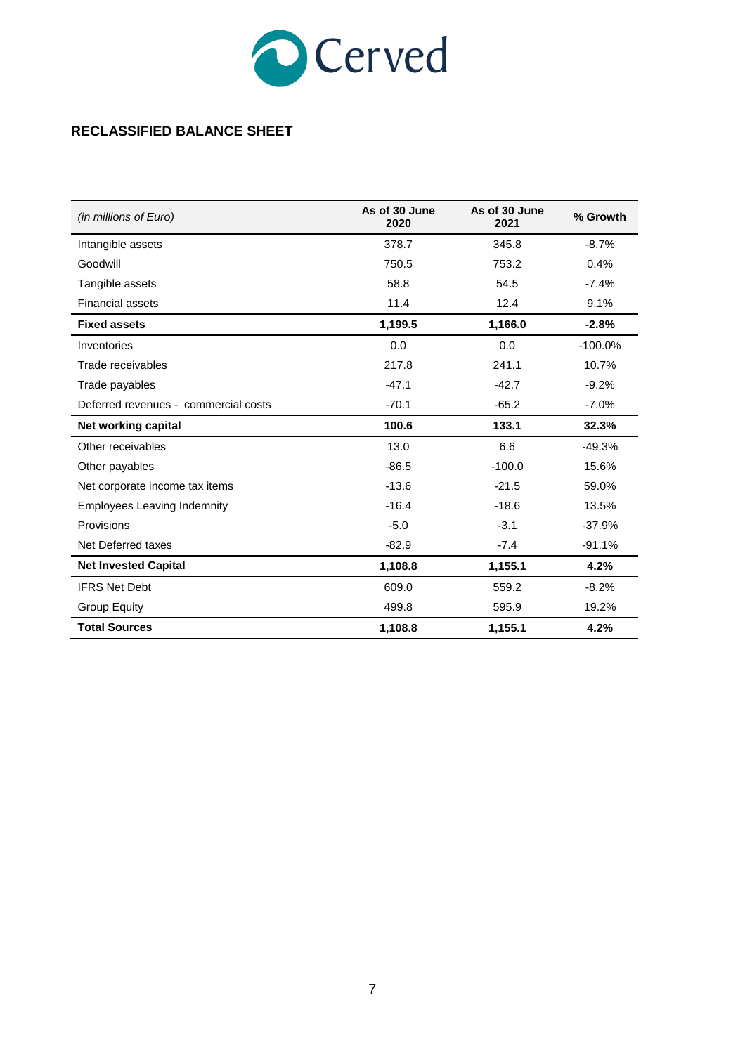

# **RECLASSIFIED BALANCE SHEET**

| (in millions of Euro)                | As of 30 June<br>2020 | As of 30 June<br>2021 | % Growth   |
|--------------------------------------|-----------------------|-----------------------|------------|
| Intangible assets                    | 378.7                 | 345.8                 | $-8.7%$    |
| Goodwill                             | 750.5                 | 753.2                 | 0.4%       |
| Tangible assets                      | 58.8                  | 54.5                  | $-7.4%$    |
| <b>Financial assets</b>              | 11.4                  | 12.4                  | 9.1%       |
| <b>Fixed assets</b>                  | 1,199.5               | 1,166.0               | $-2.8%$    |
| Inventories                          | 0.0                   | 0.0                   | $-100.0\%$ |
| Trade receivables                    | 217.8                 | 241.1                 | 10.7%      |
| Trade payables                       | $-47.1$               | $-42.7$               | $-9.2%$    |
| Deferred revenues - commercial costs | $-70.1$               | $-65.2$               | $-7.0%$    |
| Net working capital                  | 100.6                 | 133.1                 | 32.3%      |
| Other receivables                    | 13.0                  | 6.6                   | $-49.3%$   |
| Other payables                       | $-86.5$               | $-100.0$              | 15.6%      |
| Net corporate income tax items       | $-13.6$               | $-21.5$               | 59.0%      |
| <b>Employees Leaving Indemnity</b>   | $-16.4$               | $-18.6$               | 13.5%      |
| <b>Provisions</b>                    | $-5.0$                | $-3.1$                | $-37.9%$   |
| Net Deferred taxes                   | $-82.9$               | $-7.4$                | $-91.1%$   |
| <b>Net Invested Capital</b>          | 1,108.8               | 1,155.1               | 4.2%       |
| <b>IFRS Net Debt</b>                 | 609.0                 | 559.2                 | $-8.2%$    |
| <b>Group Equity</b>                  | 499.8                 | 595.9                 | 19.2%      |
| <b>Total Sources</b>                 | 1,108.8               | 1,155.1               | 4.2%       |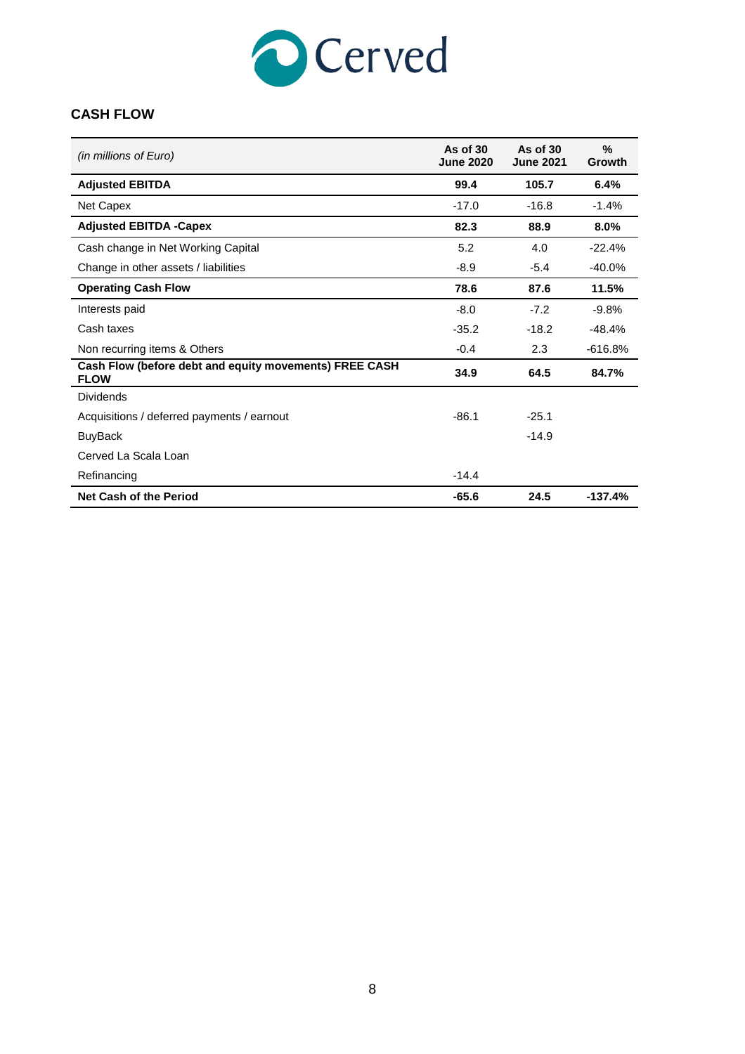

# **CASH FLOW**

| (in millions of Euro)                                                 | As of 30<br><b>June 2020</b> | As of $30$<br><b>June 2021</b> | $\%$<br>Growth |
|-----------------------------------------------------------------------|------------------------------|--------------------------------|----------------|
| <b>Adjusted EBITDA</b>                                                | 99.4                         | 105.7                          | 6.4%           |
| Net Capex                                                             | $-17.0$                      | $-16.8$                        | $-1.4%$        |
| <b>Adjusted EBITDA -Capex</b>                                         | 82.3                         | 88.9                           | 8.0%           |
| Cash change in Net Working Capital                                    | 5.2                          | 4.0                            | $-22.4%$       |
| Change in other assets / liabilities                                  | $-8.9$                       | $-5.4$                         | $-40.0%$       |
| <b>Operating Cash Flow</b>                                            | 78.6                         | 87.6                           | 11.5%          |
| Interests paid                                                        | $-8.0$                       | $-7.2$                         | $-9.8%$        |
| Cash taxes                                                            | $-35.2$                      | $-18.2$                        | $-48.4%$       |
| Non recurring items & Others                                          | $-0.4$                       | 2.3                            | $-616.8%$      |
| Cash Flow (before debt and equity movements) FREE CASH<br><b>FLOW</b> | 34.9                         | 64.5                           | 84.7%          |
| <b>Dividends</b>                                                      |                              |                                |                |
| Acquisitions / deferred payments / earnout                            | $-86.1$                      | $-25.1$                        |                |
| <b>BuyBack</b>                                                        |                              | $-14.9$                        |                |
| Cerved La Scala Loan                                                  |                              |                                |                |
| Refinancing                                                           | $-14.4$                      |                                |                |
| <b>Net Cash of the Period</b>                                         | $-65.6$                      | 24.5                           | $-137.4%$      |